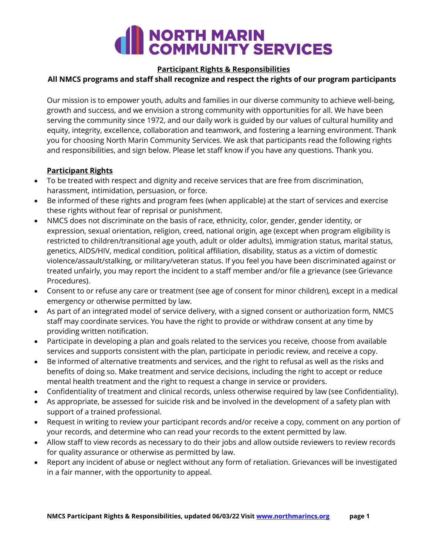# NORTH MARIN<br>COMMUNITY SERVICES

#### **Participant Rights & Responsibilities**

## **All NMCS programs and staff shall recognize and respect the rights of our program participants**

Our mission is to empower youth, adults and families in our diverse community to achieve well-being, growth and success, and we envision a strong community with opportunities for all. We have been serving the community since 1972, and our daily work is guided by our values of cultural humility and equity, integrity, excellence, collaboration and teamwork, and fostering a learning environment. Thank you for choosing North Marin Community Services. We ask that participants read the following rights and responsibilities, and sign below. Please let staff know if you have any questions. Thank you.

## **Participant Rights**

- To be treated with respect and dignity and receive services that are free from discrimination, harassment, intimidation, persuasion, or force.
- Be informed of these rights and program fees (when applicable) at the start of services and exercise these rights without fear of reprisal or punishment.
- NMCS does not discriminate on the basis of race, ethnicity, color, gender, gender identity, or expression, sexual orientation, religion, creed, national origin, age (except when program eligibility is restricted to children/transitional age youth, adult or older adults), immigration status, marital status, genetics, AIDS/HIV, medical condition, political affiliation, disability, status as a victim of domestic violence/assault/stalking, or military/veteran status. If you feel you have been discriminated against or treated unfairly, you may report the incident to a staff member and/or file a grievance (see Grievance Procedures).
- Consent to or refuse any care or treatment (see age of consent for minor children), except in a medical emergency or otherwise permitted by law.
- As part of an integrated model of service delivery, with a signed consent or authorization form, NMCS staff may coordinate services. You have the right to provide or withdraw consent at any time by providing written notification.
- Participate in developing a plan and goals related to the services you receive, choose from available services and supports consistent with the plan, participate in periodic review, and receive a copy.
- Be informed of alternative treatments and services, and the right to refusal as well as the risks and benefits of doing so. Make treatment and service decisions, including the right to accept or reduce mental health treatment and the right to request a change in service or providers.
- Confidentiality of treatment and clinical records, unless otherwise required by law (see Confidentiality).
- As appropriate, be assessed for suicide risk and be involved in the development of a safety plan with support of a trained professional.
- Request in writing to review your participant records and/or receive a copy, comment on any portion of your records, and determine who can read your records to the extent permitted by law.
- Allow staff to view records as necessary to do their jobs and allow outside reviewers to review records for quality assurance or otherwise as permitted by law.
- Report any incident of abuse or neglect without any form of retaliation. Grievances will be investigated in a fair manner, with the opportunity to appeal.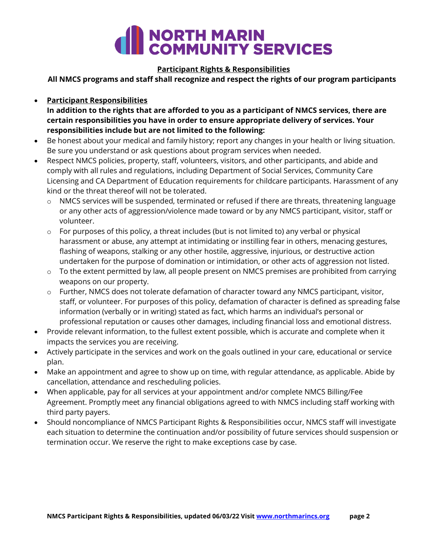

### **Participant Rights & Responsibilities**

**All NMCS programs and staff shall recognize and respect the rights of our program participants**

**Participant Responsibilities**

**In addition to the rights that are afforded to you as a participant of NMCS services, there are certain responsibilities you have in order to ensure appropriate delivery of services. Your responsibilities include but are not limited to the following:**

- Be honest about your medical and family history; report any changes in your health or living situation. Be sure you understand or ask questions about program services when needed.
- Respect NMCS policies, property, staff, volunteers, visitors, and other participants, and abide and comply with all rules and regulations, including Department of Social Services, Community Care Licensing and CA Department of Education requirements for childcare participants. Harassment of any kind or the threat thereof will not be tolerated.
	- $\circ$  NMCS services will be suspended, terminated or refused if there are threats, threatening language or any other acts of aggression/violence made toward or by any NMCS participant, visitor, staff or volunteer.
	- o For purposes of this policy, a threat includes (but is not limited to) any verbal or physical harassment or abuse, any attempt at intimidating or instilling fear in others, menacing gestures, flashing of weapons, stalking or any other hostile, aggressive, injurious, or destructive action undertaken for the purpose of domination or intimidation, or other acts of aggression not listed.
	- $\circ$  To the extent permitted by law, all people present on NMCS premises are prohibited from carrying weapons on our property.
	- $\circ$  Further, NMCS does not tolerate defamation of character toward any NMCS participant, visitor, staff, or volunteer. For purposes of this policy, defamation of character is defined as spreading false information (verbally or in writing) stated as fact, which harms an individual's personal or professional reputation or causes other damages, including financial loss and emotional distress.
- Provide relevant information, to the fullest extent possible, which is accurate and complete when it impacts the services you are receiving.
- Actively participate in the services and work on the goals outlined in your care, educational or service plan.
- Make an appointment and agree to show up on time, with regular attendance, as applicable. Abide by cancellation, attendance and rescheduling policies.
- When applicable, pay for all services at your appointment and/or complete NMCS Billing/Fee Agreement. Promptly meet any financial obligations agreed to with NMCS including staff working with third party payers.
- Should noncompliance of NMCS Participant Rights & Responsibilities occur, NMCS staff will investigate each situation to determine the continuation and/or possibility of future services should suspension or termination occur. We reserve the right to make exceptions case by case.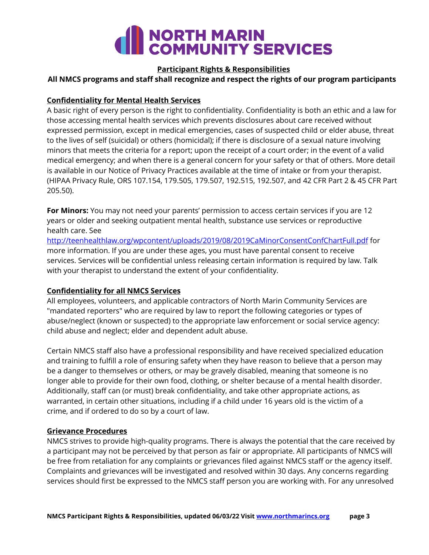# **COMMUNITY SERVICES**

#### **Participant Rights & Responsibilities**

#### **All NMCS programs and staff shall recognize and respect the rights of our program participants**

### **Confidentiality for Mental Health Services**

A basic right of every person is the right to confidentiality. Confidentiality is both an ethic and a law for those accessing mental health services which prevents disclosures about care received without expressed permission, except in medical emergencies, cases of suspected child or elder abuse, threat to the lives of self (suicidal) or others (homicidal); if there is disclosure of a sexual nature involving minors that meets the criteria for a report; upon the receipt of a court order; in the event of a valid medical emergency; and when there is a general concern for your safety or that of others. More detail is available in our Notice of Privacy Practices available at the time of intake or from your therapist. (HIPAA Privacy Rule, ORS 107.154, 179.505, 179.507, 192.515, 192.507, and 42 CFR Part 2 & 45 CFR Part 205.50).

**For Minors:** You may not need your parents' permission to access certain services if you are 12 years or older and seeking outpatient mental health, substance use services or reproductive health care. See

<http://teenhealthlaw.org/wpcontent/uploads/2019/08/2019CaMinorConsentConfChartFull.pdf> for more information. If you are under these ages, you must have parental consent to receive services. Services will be confidential unless releasing certain information is required by law. Talk with your therapist to understand the extent of your confidentiality.

### **Confidentiality for all NMCS Services**

All employees, volunteers, and applicable contractors of North Marin Community Services are "mandated reporters" who are required by law to report the following categories or types of abuse/neglect (known or suspected) to the appropriate law enforcement or social service agency: child abuse and neglect; elder and dependent adult abuse.

Certain NMCS staff also have a professional responsibility and have received specialized education and training to fulfill a role of ensuring safety when they have reason to believe that a person may be a danger to themselves or others, or may be gravely disabled, meaning that someone is no longer able to provide for their own food, clothing, or shelter because of a mental health disorder. Additionally, staff can (or must) break confidentiality, and take other appropriate actions, as warranted, in certain other situations, including if a child under 16 years old is the victim of a crime, and if ordered to do so by a court of law.

#### **Grievance Procedures**

NMCS strives to provide high-quality programs. There is always the potential that the care received by a participant may not be perceived by that person as fair or appropriate. All participants of NMCS will be free from retaliation for any complaints or grievances filed against NMCS staff or the agency itself. Complaints and grievances will be investigated and resolved within 30 days. Any concerns regarding services should first be expressed to the NMCS staff person you are working with. For any unresolved